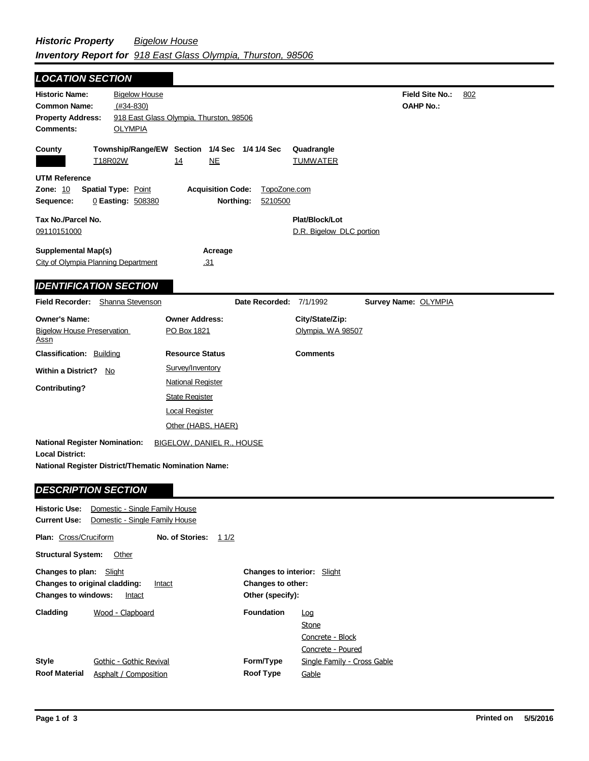| <b>LOCATION SECTION</b>                                                                                                |                                                                                                  |                                      |                                       |                         |                                            |                                            |     |
|------------------------------------------------------------------------------------------------------------------------|--------------------------------------------------------------------------------------------------|--------------------------------------|---------------------------------------|-------------------------|--------------------------------------------|--------------------------------------------|-----|
| <b>Historic Name:</b><br><b>Common Name:</b><br><b>Property Address:</b><br><b>Comments:</b>                           | <b>Bigelow House</b><br>$(H34-830)$<br>918 East Glass Olympia, Thurston, 98506<br><b>OLYMPIA</b> |                                      |                                       |                         |                                            | <b>Field Site No.:</b><br><b>OAHP No.:</b> | 802 |
| County<br>T18R02W                                                                                                      | Township/Range/EW Section 1/4 Sec 1/4 1/4 Sec                                                    | 14                                   | <b>NE</b>                             |                         | Quadrangle<br><b>TUMWATER</b>              |                                            |     |
| <b>UTM Reference</b><br>Zone: 10<br>Sequence:                                                                          | Spatial Type: Point<br>0 Easting: 508380                                                         |                                      | <b>Acquisition Code:</b><br>Northing: | TopoZone.com<br>5210500 |                                            |                                            |     |
| Tax No./Parcel No.<br>09110151000                                                                                      |                                                                                                  |                                      |                                       |                         | Plat/Block/Lot<br>D.R. Bigelow DLC portion |                                            |     |
| <b>Supplemental Map(s)</b><br>City of Olympia Planning Department                                                      |                                                                                                  | .31                                  | Acreage                               |                         |                                            |                                            |     |
| <b>IDENTIFICATION SECTION</b>                                                                                          |                                                                                                  |                                      |                                       |                         |                                            |                                            |     |
| Field Recorder: Shanna Stevenson                                                                                       |                                                                                                  |                                      |                                       | Date Recorded:          | 7/1/1992                                   | Survey Name: OLYMPIA                       |     |
| <b>Owner's Name:</b><br><b>Bigelow House Preservation</b><br><u>Assn</u>                                               |                                                                                                  | <b>Owner Address:</b><br>PO Box 1821 |                                       |                         | City/State/Zip:<br>Olympia, WA 98507       |                                            |     |
| <b>Classification: Building</b>                                                                                        |                                                                                                  | <b>Resource Status</b>               |                                       |                         | <b>Comments</b>                            |                                            |     |
| <b>Within a District?</b><br>No                                                                                        |                                                                                                  | Survey/Inventory                     |                                       |                         |                                            |                                            |     |
| Contributing?                                                                                                          |                                                                                                  | <b>National Register</b>             |                                       |                         |                                            |                                            |     |
|                                                                                                                        |                                                                                                  | <b>State Register</b>                |                                       |                         |                                            |                                            |     |
|                                                                                                                        |                                                                                                  | <b>Local Register</b>                |                                       |                         |                                            |                                            |     |
|                                                                                                                        |                                                                                                  | Other (HABS, HAER)                   |                                       |                         |                                            |                                            |     |
| <b>National Register Nomination:</b><br><b>Local District:</b><br>National Register District/Thematic Nomination Name: |                                                                                                  | <b>BIGELOW, DANIEL R., HOUSE</b>     |                                       |                         |                                            |                                            |     |
| <b>DESCRIPTION SECTION</b>                                                                                             |                                                                                                  |                                      |                                       |                         |                                            |                                            |     |
|                                                                                                                        |                                                                                                  |                                      |                                       |                         |                                            |                                            |     |

| <b>Current Use:</b><br>Domestic - Single Family House                                                             |                                                  |                 |      |                                                                                    |                                                              |  |  |
|-------------------------------------------------------------------------------------------------------------------|--------------------------------------------------|-----------------|------|------------------------------------------------------------------------------------|--------------------------------------------------------------|--|--|
| <b>Plan: Cross/Cruciform</b>                                                                                      |                                                  | No. of Stories: | 11/2 |                                                                                    |                                                              |  |  |
| <b>Structural System:</b>                                                                                         | Other                                            |                 |      |                                                                                    |                                                              |  |  |
| <b>Changes to plan:</b> Slight<br>Changes to original cladding:<br>Intact<br><b>Changes to windows:</b><br>Intact |                                                  |                 |      | <b>Changes to interior:</b> Slight<br><b>Changes to other:</b><br>Other (specify): |                                                              |  |  |
| Cladding                                                                                                          | Wood - Clapboard                                 |                 |      | <b>Foundation</b>                                                                  | <u>Loq</u><br>Stone<br>Concrete - Block<br>Concrete - Poured |  |  |
| <b>Style</b><br><b>Roof Material</b>                                                                              | Gothic - Gothic Revival<br>Asphalt / Composition |                 |      | Form/Type<br><b>Roof Type</b>                                                      | Single Family - Cross Gable<br>Gable                         |  |  |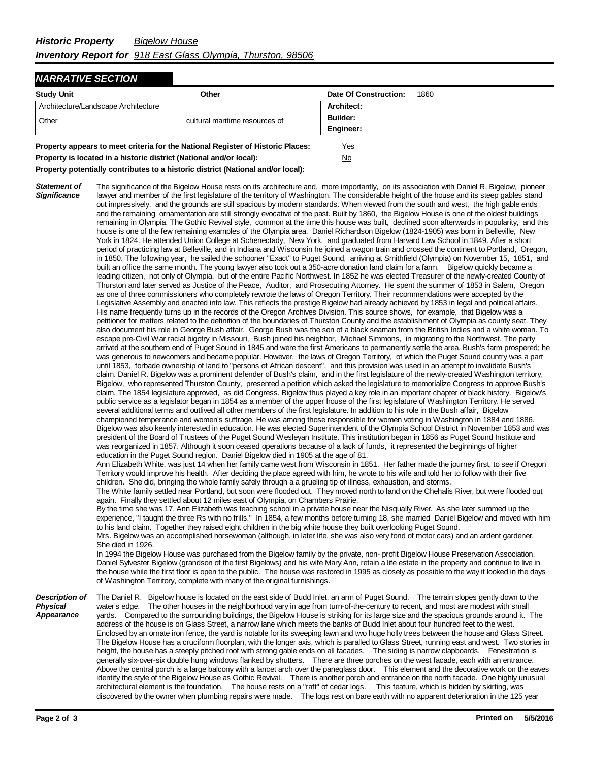## *NARRATIVE SECTION*

| <b>Study Unit</b><br>Other                                                      |                                | Date Of Construction: | 1860 |
|---------------------------------------------------------------------------------|--------------------------------|-----------------------|------|
| Architecture/Landscape Architecture                                             |                                | Architect:            |      |
| Other                                                                           | cultural maritime resources of | Builder:              |      |
|                                                                                 |                                | Engineer:             |      |
| Property appears to meet criteria for the National Register of Historic Places: | Yes                            |                       |      |

**Property is located in a historic district (National and/or local):** No

**Property potentially contributes to a historic district (National and/or local):**

*Statement of Significance* The significance of the Bigelow House rests on its architecture and, more importantly, on its association with Daniel R. Bigelow, pioneer lawyer and member of the first legislature of the territory of Washington. The considerable height of the house and its steep gables stand out impressively, and the grounds are still spacious by modern standards. When viewed from the south and west, the high gable ends and the remaining ornamentation are still strongly evocative of the past. Built by 1860, the Bigelow House is one of the oldest buildings remaining in Olympia. The Gothic Revival style, common at the time this house was built, declined soon afterwards in popularity, and this house is one of the few remaining examples of the Olympia area. Daniel Richardson Bigelow (1824-1905) was born in Belleville, New York in 1824. He attended Union College at Schenectady, New York, and graduated from Harvard Law School in 1849. After a short period of practicing law at Belleville, and in Indiana and Wisconsin he joined a wagon train and crossed the continent to Portland, Oregon, in 1850. The following year, he sailed the schooner "Exact" to Puget Sound, arriving at Smithfield (Olympia) on November 15, 1851, and built an office the same month. The young lawyer also took out a 350-acre donation land claim for a farm. Bigelow quickly became a leading citizen, not only of Olympia, but of the entire Pacific Northwest. In 1852 he was elected Treasurer of the newly-created County of Thurston and later served as Justice of the Peace, Auditor, and Prosecuting Attorney. He spent the summer of 1853 in Salem, Oregon as one of three commissioners who completely rewrote the laws of Oregon Territory. Their recommendations were accepted by the Legislative Assembly and enacted into law. This reflects the prestige Bigelow had already achieved by 1853 in legal and political affairs. His name frequently turns up in the records of the Oregon Archives Division. This source shows, for example, that Bigelow was a petitioner for matters related to the definition of the boundaries of Thurston County and the establishment of Olympia as county seat. They also document his role in George Bush affair. George Bush was the son of a black seaman from the British Indies and a white woman. To escape pre-Civil War racial bigotry in Missouri, Bush joined his neighbor, Michael Simmons, in migrating to the Northwest. The party arrived at the southern end of Puget Sound in 1845 and were the first Americans to permanently settle the area. Bush's farm prospered; he was generous to newcomers and became popular. However, the laws of Oregon Territory, of which the Puget Sound country was a part until 1853, forbade ownership of land to "persons of African descent", and this provision was used in an attempt to invalidate Bush's claim. Daniel R. Bigelow was a prominent defender of Bush's claim, and in the first legislature of the newly-created Washington territory, Bigelow, who represented Thurston County, presented a petition which asked the legislature to memorialize Congress to approve Bush's claim. The 1854 legislature approved, as did Congress. Bigelow thus played a key role in an important chapter of black history. Bigelow's public service as a legislator began in 1854 as a member of the upper house of the first legislature of Washington Territory. He served several additional terms and outlived all other members of the first legislature. In addition to his role in the Bush affair, Bigelow championed temperance and women's suffrage. He was among those responsible for women voting in Washington in 1884 and 1886. Bigelow was also keenly interested in education. He was elected Superintendent of the Olympia School District in November 1853 and was president of the Board of Trustees of the Puget Sound Wesleyan Institute. This institution began in 1856 as Puget Sound Institute and was reorganized in 1857. Although it soon ceased operations because of a lack of funds, it represented the beginnings of higher education in the Puget Sound region. Daniel Bigelow died in 1905 at the age of 81. Ann Elizabeth White, was just 14 when her family came west from Wisconsin in 1851. Her father made the journey first, to see if Oregon Territory would improve his health. After deciding the place agreed with him, he wrote to his wife and told her to follow with their five children. She did, bringing the whole family safely through a a grueling tip of illness, exhaustion, and storms. The White family settled near Portland, but soon were flooded out. They moved north to land on the Chehalis River, but were flooded out again. Finally they settled about 12 miles east of Olympia, on Chambers Prairie. By the time she was 17, Ann Elizabeth was teaching school in a private house near the Nisqually River. As she later summed up the experience, "I taught the three Rs with no frills." In 1854, a few months before turning 18, she married Daniel Bigelow and moved with him to his land claim. Together they raised eight children in the big white house they built overlooking Puget Sound. Mrs. Bigelow was an accomplished horsewoman (although, in later life, she was also very fond of motor cars) and an ardent gardener. She died in 1926. In 1994 the Bigelow House was purchased from the Bigelow family by the private, non- profit Bigelow House Preservation Association. Daniel Sylvester Bigelow (grandson of the first Bigelows) and his wife Mary Ann, retain a life estate in the property and continue to live in the house while the first floor is open to the public. The house was restored in 1995 as closely as possible to the way it looked in the days of Washington Territory, complete with many of the original furnishings. *Description of Physical Appearance* The Daniel R. Bigelow house is located on the east side of Budd Inlet, an arm of Puget Sound. The terrain slopes gently down to the water's edge. The other houses in the neighborhood vary in age from turn-of-the-century to recent, and most are modest with small yards. Compared to the surrounding buildings, the Bigelow House is striking for its large size and the spacious grounds around it. The address of the house is on Glass Street, a narrow lane which meets the banks of Budd Inlet about four hundred feet to the west. Enclosed by an ornate iron fence, the yard is notable for its sweeping lawn and two huge holly trees between the house and Glass Street. The Bigelow House has a cruciform floorplan, with the longer axis, which is paralled to Glass Street, running east and west. Two stories in height, the house has a steeply pitched roof with strong gable ends on all facades. The siding is narrow clapboards. Fenestration is generally six-over-six double hung windows flanked by shutters. There are three porches on the west facade, each with an entrance. Above the central porch is a large balcony with a lancet arch over the paneglass door. This element and the decorative work on the eaves identify the style of the Bigelow House as Gothic Revival. There is another porch and entrance on the north facade. One highly unusual

> architectural element is the foundation. The house rests on a "raft" of cedar logs. This feature, which is hidden by skirting, was discovered by the owner when plumbing repairs were made. The logs rest on bare earth with no apparent deterioration in the 125 year